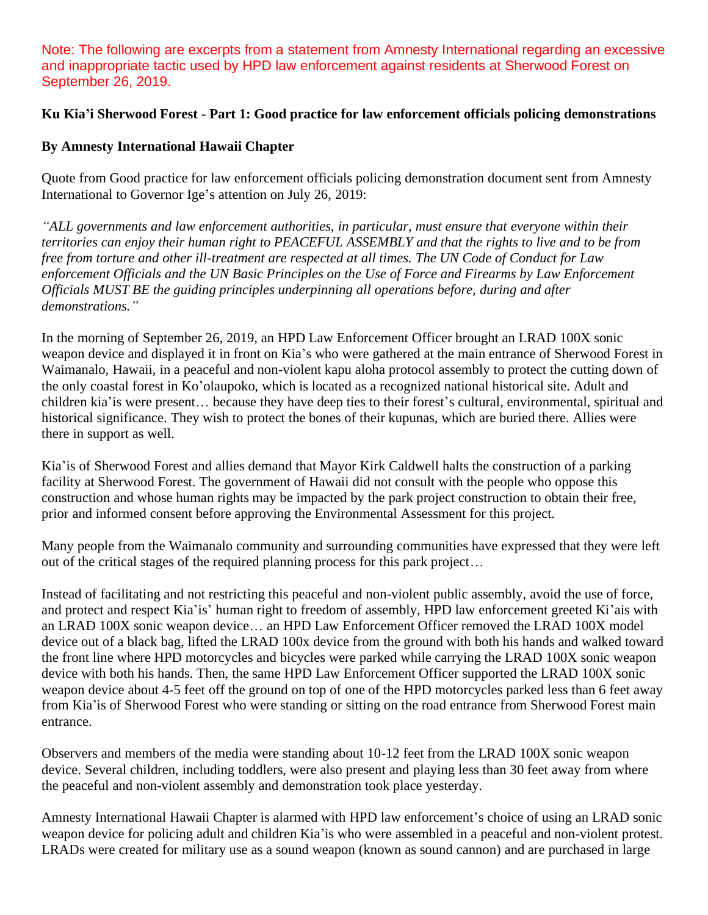Note: The following are excerpts from a statement from Amnesty International regarding an excessive and inappropriate tactic used by HPD law enforcement against residents at Sherwood Forest on September 26, 2019.

## **Ku Kia'i Sherwood Forest - Part 1: Good practice for law enforcement officials policing demonstrations**

## **By Amnesty International Hawaii Chapter**

Quote from Good practice for law enforcement officials policing demonstration document sent from Amnesty International to Governor Ige's attention on July 26, 2019:

*"ALL governments and law enforcement authorities, in particular, must ensure that everyone within their territories can enjoy their human right to PEACEFUL ASSEMBLY and that the rights to live and to be from free from torture and other ill-treatment are respected at all times. The UN Code of Conduct for Law enforcement Officials and the UN Basic Principles on the Use of Force and Firearms by Law Enforcement Officials MUST BE the guiding principles underpinning all operations before, during and after demonstrations."*

In the morning of September 26, 2019, an HPD Law Enforcement Officer brought an LRAD 100X sonic weapon device and displayed it in front on Kia's who were gathered at the main entrance of Sherwood Forest in Waimanalo, Hawaii, in a peaceful and non-violent kapu aloha protocol assembly to protect the cutting down of the only coastal forest in Ko'olaupoko, which is located as a recognized national historical site. Adult and children kia'is were present… because they have deep ties to their forest's cultural, environmental, spiritual and historical significance. They wish to protect the bones of their kupunas, which are buried there. Allies were there in support as well.

Kia'is of Sherwood Forest and allies demand that Mayor Kirk Caldwell halts the construction of a parking facility at Sherwood Forest. The government of Hawaii did not consult with the people who oppose this construction and whose human rights may be impacted by the park project construction to obtain their free, prior and informed consent before approving the Environmental Assessment for this project.

Many people from the Waimanalo community and surrounding communities have expressed that they were left out of the critical stages of the required planning process for this park project…

Instead of facilitating and not restricting this peaceful and non-violent public assembly, avoid the use of force, and protect and respect Kia'is' human right to freedom of assembly, HPD law enforcement greeted Ki'ais with an LRAD 100X sonic weapon device… an HPD Law Enforcement Officer removed the LRAD 100X model device out of a black bag, lifted the LRAD 100x device from the ground with both his hands and walked toward the front line where HPD motorcycles and bicycles were parked while carrying the LRAD 100X sonic weapon device with both his hands. Then, the same HPD Law Enforcement Officer supported the LRAD 100X sonic weapon device about 4-5 feet off the ground on top of one of the HPD motorcycles parked less than 6 feet away from Kia'is of Sherwood Forest who were standing or sitting on the road entrance from Sherwood Forest main entrance.

Observers and members of the media were standing about 10-12 feet from the LRAD 100X sonic weapon device. Several children, including toddlers, were also present and playing less than 30 feet away from where the peaceful and non-violent assembly and demonstration took place yesterday.

Amnesty International Hawaii Chapter is alarmed with HPD law enforcement's choice of using an LRAD sonic weapon device for policing adult and children Kia'is who were assembled in a peaceful and non-violent protest. LRADs were created for military use as a sound weapon (known as sound cannon) and are purchased in large